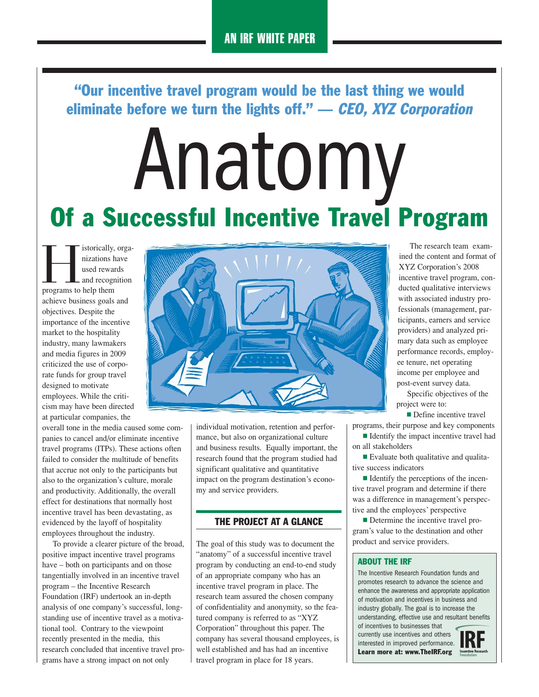"Our incentive travel program would be the last thing we would eliminate before we turn the lights off."  $-$  CEO, XYZ Corporation

# Anatomy Of a Successful Incentive Travel Program

storically, organizations have<br>
used rewards<br>
and recognition<br>
programs to help them nizations have used rewards - and recognition achieve business goals and objectives. Despite the importance of the incentive market to the hospitality industry, many lawmakers and media figures in 2009 criticized the use of corporate funds for group travel designed to motivate employees. While the criticism may have been directed at particular companies, the

overall tone in the media caused some companies to cancel and/or eliminate incentive travel programs (ITPs). These actions often failed to consider the multitude of benefits that accrue not only to the participants but also to the organization's culture, morale and productivity. Additionally, the overall effect for destinations that normally host incentive travel has been devastating, as evidenced by the layoff of hospitality employees throughout the industry.

To provide a clearer picture of the broad, positive impact incentive travel programs have – both on participants and on those tangentially involved in an incentive travel program – the Incentive Research Foundation (IRF) undertook an in-depth analysis of one company's successful, longstanding use of incentive travel as a motivational tool. Contrary to the viewpoint recently presented in the media, this research concluded that incentive travel programs have a strong impact on not only



individual motivation, retention and performance, but also on organizational culture and business results. Equally important, the research found that the program studied had significant qualitative and quantitative impact on the program destination's economy and service providers.

#### THE PROJECT AT A GLANCE

The goal of this study was to document the "anatomy" of a successful incentive travel program by conducting an end-to-end study of an appropriate company who has an incentive travel program in place. The research team assured the chosen company of confidentiality and anonymity, so the featured company is referred to as "XYZ Corporation" throughout this paper. The company has several thousand employees, is well established and has had an incentive travel program in place for 18 years.

The research team examined the content and format of XYZ Corporation's 2008 incentive travel program, conducted qualitative interviews with associated industry professionals (management, participants, earners and service providers) and analyzed primary data such as employee performance records, employee tenure, net operating income per employee and post-event survey data.

Specific objectives of the project were to:

**Define incentive travel** 

programs, their purpose and key components **I** Identify the impact incentive travel had

- on all stakeholders
- Evaluate both qualitative and qualitative success indicators

■ Identify the perceptions of the incentive travel program and determine if there was a difference in management's perspective and the employees' perspective

**Determine the incentive travel pro**gram's value to the destination and other product and service providers.

#### ABOUT THE IRF

The Incentive Research Foundation funds and promotes research to advance the science and enhance the awareness and appropriate application of motivation and incentives in business and industry globally. The goal is to increase the understanding, effective use and resultant benefits

of incentives to businesses that currently use incentives and others interested in improved performance. Learn more at: www.TheIRF.org Incentive B

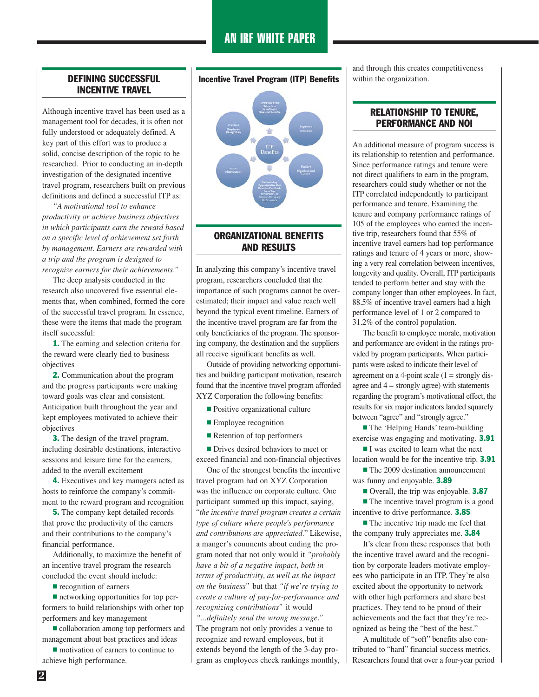# AN IRF WHITE PAPER

#### DEFINING SUCCESSFUL INCENTIVE TRAVEL

Although incentive travel has been used as a management tool for decades, it is often not fully understood or adequately defined. A key part of this effort was to produce a solid, concise description of the topic to be researched. Prior to conducting an in-depth investigation of the designated incentive travel program, researchers built on previous definitions and defined a successful ITP as:

*"A motivational tool to enhance productivity or achieve business objectives in which participants earn the reward based on a specific level of achievement set forth by management. Earners are rewarded with a trip and the program is designed to recognize earners for their achievements."*

The deep analysis conducted in the research also uncovered five essential elements that, when combined, formed the core of the successful travel program. In essence, these were the items that made the program itself successful:

1. The earning and selection criteria for the reward were clearly tied to business objectives

2. Communication about the program and the progress participants were making toward goals was clear and consistent. Anticipation built throughout the year and kept employees motivated to achieve their objectives

**3.** The design of the travel program, including desirable destinations, interactive sessions and leisure time for the earners, added to the overall excitement

4. Executives and key managers acted as hosts to reinforce the company's commitment to the reward program and recognition

5. The company kept detailed records that prove the productivity of the earners and their contributions to the company's financial performance.

Additionally, to maximize the benefit of an incentive travel program the research concluded the event should include:

**recognition of earners** 

 $\blacksquare$  networking opportunities for top performers to build relationships with other top performers and key management

- collaboration among top performers and management about best practices and ideas

 $\blacksquare$  motivation of earners to continue to achieve high performance.

#### Incentive Travel Program (ITP) Benefits



### ORGANIZATIONAL BENEFITS AND RESULTS

In analyzing this company's incentive travel program, researchers concluded that the importance of such programs cannot be overestimated; their impact and value reach well beyond the typical event timeline. Earners of the incentive travel program are far from the only beneficiaries of the program. The sponsoring company, the destination and the suppliers all receive significant benefits as well.

Outside of providing networking opportunities and building participant motivation, research found that the incentive travel program afforded XYZ Corporation the following benefits:

- **Positive organizational culture**
- **Employee recognition**
- **Exercise 1** Retention of top performers

**Drives desired behaviors to meet or** exceed financial and non-financial objectives

One of the strongest benefits the incentive travel program had on XYZ Corporation was the influence on corporate culture. One participant summed up this impact, saying, "*the incentive travel program creates a certain type of culture where people's performance and contributions are appreciated.*" Likewise, a manger's comments about ending the program noted that not only would it *"probably have a bit of a negative impact, both in terms of productivity, as well as the impact on the business"* but that *"if we're trying to create a culture of pay-for-performance and recognizing contributions"* it would *"...definitely send the wrong message."* The program not only provides a venue to recognize and reward employees, but it extends beyond the length of the 3-day program as employees check rankings monthly,

and through this creates competitiveness within the organization.

## RELATIONSHIP TO TENURE, PERFORMANCE AND NOI

An additional measure of program success is its relationship to retention and performance. Since performance ratings and tenure were not direct qualifiers to earn in the program, researchers could study whether or not the ITP correlated independently to participant performance and tenure. Examining the tenure and company performance ratings of 105 of the employees who earned the incentive trip, researchers found that 55% of incentive travel earners had top performance ratings and tenure of 4 years or more, showing a very real correlation between incentives, longevity and quality. Overall, ITP participants tended to perform better and stay with the company longer than other employees. In fact, 88.5% of incentive travel earners had a high performance level of 1 or 2 compared to 31.2% of the control population.

The benefit to employee morale, motivation and performance are evident in the ratings provided by program participants. When participants were asked to indicate their level of agreement on a 4-point scale  $(1 =$  strongly disagree and  $4 =$  strongly agree) with statements regarding the program's motivational effect, the results for six major indicators landed squarely between "agree" and "strongly agree."

**The 'Helping Hands' team-building** exercise was engaging and motivating. 3.91

I was excited to learn what the next location would be for the incentive trip. 3.91

**The 2009 destination announcement** was funny and enjoyable. **3.89** 

Overall, the trip was enjoyable. 3.87

**The incentive travel program is a good** incentive to drive performance. 3.85

**The incentive trip made me feel that** the company truly appreciates me. 3.84

It's clear from these responses that both the incentive travel award and the recognition by corporate leaders motivate employees who participate in an ITP. They're also excited about the opportunity to network with other high performers and share best practices. They tend to be proud of their achievements and the fact that they're recognized as being the "best of the best."

A multitude of "soft" benefits also contributed to "hard" financial success metrics. Researchers found that over a four-year period

**2**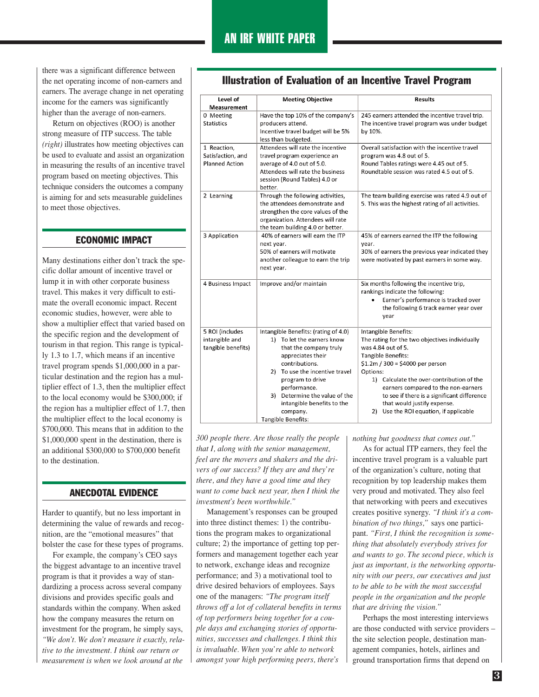there was a significant difference between the net operating income of non-earners and earners. The average change in net operating income for the earners was significantly higher than the average of non-earners.

Return on objectives (ROO) is another strong measure of ITP success. The table *(right)* illustrates how meeting objectives can be used to evaluate and assist an organization in measuring the results of an incentive travel program based on meeting objectives. This technique considers the outcomes a company is aiming for and sets measurable guidelines to meet those objectives.

#### ECONOMIC IMPACT

Many destinations either don't track the specific dollar amount of incentive travel or lump it in with other corporate business travel. This makes it very difficult to estimate the overall economic impact. Recent economic studies, however, were able to show a multiplier effect that varied based on the specific region and the development of tourism in that region. This range is typically 1.3 to 1.7, which means if an incentive travel program spends \$1,000,000 in a particular destination and the region has a multiplier effect of 1.3, then the multiplier effect to the local economy would be \$300,000; if the region has a multiplier effect of 1.7, then the multiplier effect to the local economy is \$700,000. This means that in addition to the \$1,000,000 spent in the destination, there is an additional \$300,000 to \$700,000 benefit to the destination.

#### ANECDOTAL EVIDENCE

Harder to quantify, but no less important in determining the value of rewards and recognition, are the "emotional measures" that bolster the case for these types of programs.

For example, the company's CEO says the biggest advantage to an incentive travel program is that it provides a way of standardizing a process across several company divisions and provides specific goals and standards within the company. When asked how the company measures the return on investment for the program, he simply says, *"We don't. We don't measure it exactly, relative to the investment. I think our return or measurement is when we look around at the*

| Level of                                                  | <b>Meeting Objective</b>                                                                                                                                                                                                                                                                                   | <b>Results</b>                                                                                                                                                                                                                                                                                                                                                                 |
|-----------------------------------------------------------|------------------------------------------------------------------------------------------------------------------------------------------------------------------------------------------------------------------------------------------------------------------------------------------------------------|--------------------------------------------------------------------------------------------------------------------------------------------------------------------------------------------------------------------------------------------------------------------------------------------------------------------------------------------------------------------------------|
| Measurement                                               |                                                                                                                                                                                                                                                                                                            |                                                                                                                                                                                                                                                                                                                                                                                |
| 0 Meeting<br><b>Statistics</b>                            | Have the top 10% of the company's<br>producers attend.<br>Incentive travel budget will be 5%<br>less than budgeted.                                                                                                                                                                                        | 245 earners attended the incentive travel trip.<br>The incentive travel program was under budget<br>by 10%.                                                                                                                                                                                                                                                                    |
| 1 Reaction,<br>Satisfaction, and<br><b>Planned Action</b> | Attendees will rate the incentive<br>travel program experience an<br>average of 4.0 out of 5.0.<br>Attendees will rate the business<br>session (Round Tables) 4.0 or<br>better.                                                                                                                            | Overall satisfaction with the incentive travel<br>program was 4.8 out of 5.<br>Round Tables ratings were 4.45 out of 5.<br>Roundtable session was rated 4.5 out of 5.                                                                                                                                                                                                          |
| 2 Learning                                                | Through the following activities,<br>the attendees demonstrate and<br>strengthen the core values of the<br>organization. Attendees will rate<br>the team building 4.0 or better.                                                                                                                           | The team building exercise was rated 4.9 out of<br>5. This was the highest rating of all activities.                                                                                                                                                                                                                                                                           |
| 3 Application                                             | 40% of earners will earn the ITP<br>next year.<br>50% of earners will motivate<br>another colleague to earn the trip<br>next year.                                                                                                                                                                         | 45% of earners earned the ITP the following<br>year.<br>30% of earners the previous year indicated they<br>were motivated by past earners in some way.                                                                                                                                                                                                                         |
| 4 Business Impact                                         | Improve and/or maintain                                                                                                                                                                                                                                                                                    | Six months following the incentive trip,<br>rankings indicate the following:<br>Earner's performance is tracked over<br>the following 6 track earner year over<br>year                                                                                                                                                                                                         |
| 5 ROI (includes<br>intangible and<br>tangible benefits)   | Intangible Benefits: (rating of 4.0)<br>1) To let the earners know<br>that the company truly<br>appreciates their<br>contributions.<br>2) To use the incentive travel<br>program to drive<br>performance.<br>3) Determine the value of the<br>intangible benefits to the<br>company.<br>Tangible Benefits: | Intangible Benefits:<br>The rating for the two objectives individually<br>was 4.84 out of 5.<br>Tangible Benefits:<br>$$1.2m / 300 = $4000$ per person<br>Options:<br>1) Calculate the over-contribution of the<br>earners compared to the non-earners<br>to see if there is a significant difference<br>that would justify expense.<br>2) Use the ROI equation, if applicable |

#### Illustration of Evaluation of an Incentive Travel Program

*300 people there. Are those really the people that I, along with the senior management, feel are the movers and shakers and the drivers of our success? If they are and they're there, and they have a good time and they want to come back next year, then I think the investment's been worthwhile."*

Management's responses can be grouped into three distinct themes: 1) the contributions the program makes to organizational culture; 2) the importance of getting top performers and management together each year to network, exchange ideas and recognize performance; and 3) a motivational tool to drive desired behaviors of employees. Says one of the managers: *"The program itself throws off a lot of collateral benefits in terms of top performers being together for a couple days and exchanging stories of opportunities, successes and challenges. I think this is invaluable. When you're able to network amongst your high performing peers, there's*

*nothing but goodness that comes out."*

As for actual ITP earners, they feel the incentive travel program is a valuable part of the organization's culture, noting that recognition by top leadership makes them very proud and motivated. They also feel that networking with peers and executives creates positive synergy. *"I think it's a combination of two things,"* says one participant. *"First, I think the recognition is something that absolutely everybody strives for and wants to go. The second piece, which is just as important, is the networking opportunity with our peers, our executives and just to be able to be with the most successful people in the organization and the people that are driving the vision."*

Perhaps the most interesting interviews are those conducted with service providers – the site selection people, destination management companies, hotels, airlines and ground transportation firms that depend on